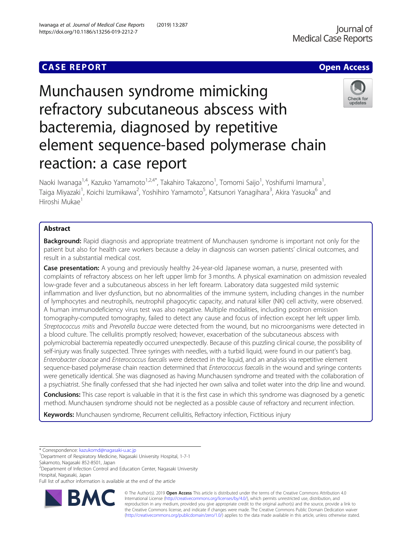## **CASE REPORT CASE ACCESS**

# Munchausen syndrome mimicking refractory subcutaneous abscess with bacteremia, diagnosed by repetitive element sequence-based polymerase chain reaction: a case report

Naoki Iwanaga<sup>1,4</sup>, Kazuko Yamamoto<sup>1,2,4\*</sup>, Takahiro Takazono<sup>1</sup>, Tomomi Saijo<sup>1</sup>, Yoshifumi Imamura<sup>1</sup> , Taiga Miyazaki<sup>1</sup>, Koichi Izumikawa<sup>2</sup>, Yoshihiro Yamamoto<sup>5</sup>, Katsunori Yanagihara<sup>3</sup>, Akira Yasuoka<sup>6</sup> and Hiroshi Mukae<sup>1</sup>

## Abstract

Background: Rapid diagnosis and appropriate treatment of Munchausen syndrome is important not only for the patient but also for health care workers because a delay in diagnosis can worsen patients' clinical outcomes, and result in a substantial medical cost.

Case presentation: A young and previously healthy 24-year-old Japanese woman, a nurse, presented with complaints of refractory abscess on her left upper limb for 3 months. A physical examination on admission revealed low-grade fever and a subcutaneous abscess in her left forearm. Laboratory data suggested mild systemic inflammation and liver dysfunction, but no abnormalities of the immune system, including changes in the number of lymphocytes and neutrophils, neutrophil phagocytic capacity, and natural killer (NK) cell activity, were observed. A human immunodeficiency virus test was also negative. Multiple modalities, including positron emission tomography-computed tomography, failed to detect any cause and focus of infection except her left upper limb. Streptococcus mitis and Prevotella buccae were detected from the wound, but no microorganisms were detected in a blood culture. The cellulitis promptly resolved; however, exacerbation of the subcutaneous abscess with polymicrobial bacteremia repeatedly occurred unexpectedly. Because of this puzzling clinical course, the possibility of self-injury was finally suspected. Three syringes with needles, with a turbid liquid, were found in our patient's bag. Enterobacter cloacae and Enterococcus faecalis were detected in the liquid, and an analysis via repetitive element sequence-based polymerase chain reaction determined that *Enterococcus faecalis* in the wound and syringe contents were genetically identical. She was diagnosed as having Munchausen syndrome and treated with the collaboration of a psychiatrist. She finally confessed that she had injected her own saliva and toilet water into the drip line and wound.

**Conclusions:** This case report is valuable in that it is the first case in which this syndrome was diagnosed by a genetic method. Munchausen syndrome should not be neglected as a possible cause of refractory and recurrent infection.

Keywords: Munchausen syndrome, Recurrent cellulitis, Refractory infection, Fictitious injury

Sakamoto, Nagasaki 852-8501, Japan

<sup>2</sup> Department of Infection Control and Education Center, Nagasaki University Hospital, Nagasaki, Japan



© The Author(s). 2019 Open Access This article is distributed under the terms of the Creative Commons Attribution 4.0 International License [\(http://creativecommons.org/licenses/by/4.0/](http://creativecommons.org/licenses/by/4.0/)), which permits unrestricted use, distribution, and reproduction in any medium, provided you give appropriate credit to the original author(s) and the source, provide a link to the Creative Commons license, and indicate if changes were made. The Creative Commons Public Domain Dedication waiver [\(http://creativecommons.org/publicdomain/zero/1.0/](http://creativecommons.org/publicdomain/zero/1.0/)) applies to the data made available in this article, unless otherwise stated.



<sup>\*</sup> Correspondence: [kazukomd@nagasaki-u.ac.jp](mailto:kazukomd@nagasaki-u.ac.jp) <sup>1</sup>

Department of Respiratory Medicine, Nagasaki University Hospital, 1-7-1

Full list of author information is available at the end of the article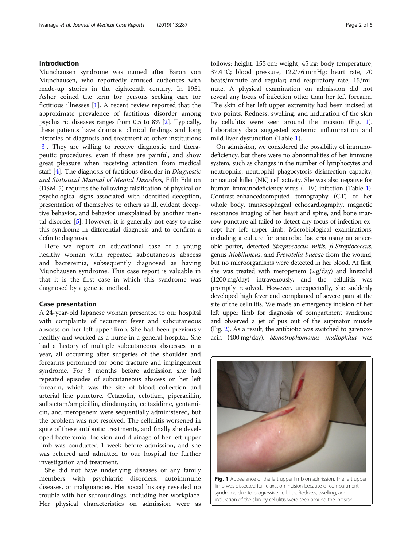#### Introduction

Munchausen syndrome was named after Baron von Munchausen, who reportedly amused audiences with made-up stories in the eighteenth century. In 1951 Asher coined the term for persons seeking care for fictitious illnesses [[1\]](#page-5-0). A recent review reported that the approximate prevalence of factitious disorder among psychiatric diseases ranges from 0.5 to 8% [[2\]](#page-5-0). Typically, these patients have dramatic clinical findings and long histories of diagnosis and treatment at other institutions [[3\]](#page-5-0). They are willing to receive diagnostic and therapeutic procedures, even if these are painful, and show great pleasure when receiving attention from medical staff [\[4](#page-5-0)]. The diagnosis of factitious disorder in Diagnostic and Statistical Manual of Mental Disorders, Fifth Edition (DSM-5) requires the following: falsification of physical or psychological signs associated with identified deception, presentation of themselves to others as ill, evident deceptive behavior, and behavior unexplained by another mental disorder [[5\]](#page-5-0). However, it is generally not easy to raise this syndrome in differential diagnosis and to confirm a definite diagnosis.

Here we report an educational case of a young healthy woman with repeated subcutaneous abscess and bacteremia, subsequently diagnosed as having Munchausen syndrome. This case report is valuable in that it is the first case in which this syndrome was diagnosed by a genetic method.

#### Case presentation

A 24-year-old Japanese woman presented to our hospital with complaints of recurrent fever and subcutaneous abscess on her left upper limb. She had been previously healthy and worked as a nurse in a general hospital. She had a history of multiple subcutaneous abscesses in a year, all occurring after surgeries of the shoulder and forearms performed for bone fracture and impingement syndrome. For 3 months before admission she had repeated episodes of subcutaneous abscess on her left forearm, which was the site of blood collection and arterial line puncture. Cefazolin, cefotiam, piperacillin, sulbactam/ampicillin, clindamycin, ceftazidime, gentamicin, and meropenem were sequentially administered, but the problem was not resolved. The cellulitis worsened in spite of these antibiotic treatments, and finally she developed bacteremia. Incision and drainage of her left upper limb was conducted 1 week before admission, and she was referred and admitted to our hospital for further investigation and treatment.

She did not have underlying diseases or any family members with psychiatric disorders, autoimmune diseases, or malignancies. Her social history revealed no trouble with her surroundings, including her workplace. Her physical characteristics on admission were as follows: height, 155 cm; weight, 45 kg; body temperature, 37.4 °C; blood pressure, 122/76 mmHg; heart rate, 70 beats/minute and regular; and respiratory rate, 15/minute. A physical examination on admission did not reveal any focus of infection other than her left forearm. The skin of her left upper extremity had been incised at two points. Redness, swelling, and induration of the skin by cellulitis were seen around the incision (Fig. 1). Laboratory data suggested systemic inflammation and mild liver dysfunction (Table [1](#page-2-0)).

On admission, we considered the possibility of immunodeficiency, but there were no abnormalities of her immune system, such as changes in the number of lymphocytes and neutrophils, neutrophil phagocytosis disinfection capacity, or natural killer (NK) cell activity. She was also negative for human immunodeficiency virus (HIV) infection (Table [1](#page-2-0)). Contrast-enhancedcomputed tomography (CT) of her whole body, transesophageal echocardiography, magnetic resonance imaging of her heart and spine, and bone marrow puncture all failed to detect any focus of infection except her left upper limb. Microbiological examinations, including a culture for anaerobic bacteria using an anaerobic porter, detected Streptococcus mitis, β-Streptococcus, genus Mobiluncus, and Prevotella buccae from the wound, but no microorganisms were detected in her blood. At first, she was treated with meropenem  $(2 g/day)$  and linezolid (1200 mg/day) intravenously, and the cellulitis was promptly resolved. However, unexpectedly, she suddenly developed high fever and complained of severe pain at the site of the cellulitis. We made an emergency incision of her left upper limb for diagnosis of compartment syndrome and observed a jet of pus out of the supinator muscle (Fig. [2](#page-2-0)). As a result, the antibiotic was switched to garenoxacin (400 mg/day). Stenotrophomonas maltophilia was



Fig. 1 Appearance of the left upper limb on admission. The left upper limb was dissected for relaxation incision because of compartment syndrome due to progressive cellulitis. Redness, swelling, and induration of the skin by cellulitis were seen around the incision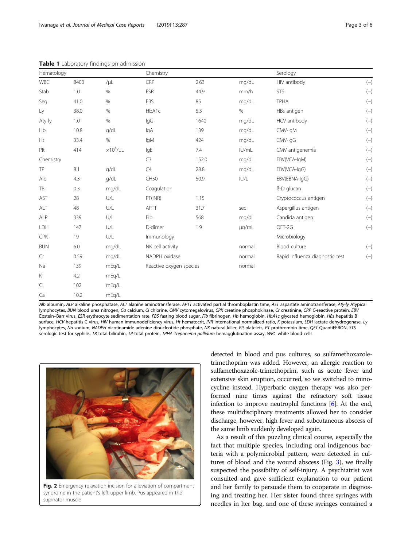| Hematology |      |                   | Chemistry               |       |        | Serology                        |                   |
|------------|------|-------------------|-------------------------|-------|--------|---------------------------------|-------------------|
| <b>WBC</b> | 8400 | $/ \mu L$         | CRP                     | 2.63  | mg/dL  | HIV antibody                    | $\left( -\right)$ |
| Stab       | 1.0  | $\%$              | <b>ESR</b>              | 44.9  | mm/h   | <b>STS</b>                      | $\left( -\right)$ |
| Seg        | 41.0 | $\%$              | <b>FBS</b>              | 85    | mg/dL  | <b>TPHA</b>                     | $\left( -\right)$ |
| Ly         | 38.0 | $\%$              | HbA1c                   | 5.3   | $\%$   | HBs antigen                     | $\left( -\right)$ |
| Aty-ly     | 1.0  | $\%$              | lgG                     | 1640  | mg/dL  | HCV antibody                    | $\left( -\right)$ |
| Hb         | 10.8 | g/dL              | lgA                     | 139   | mg/dL  | CMV-IgM                         | $\left( -\right)$ |
| Ht         | 33.4 | $\%$              | lgM                     | 424   | mg/dL  | CMV-IgG                         | $\left( -\right)$ |
| Plt        | 414  | $\times 10^4$ /µL | IgE                     | 7.4   | IU/mL  | CMV antigenemia                 | $\left( -\right)$ |
| Chemistry  |      |                   | C3                      | 152.0 | mg/dL  | EBV(VCA-IgM)                    | $\left( -\right)$ |
| TP         | 8.1  | g/dL              | C4                      | 28.8  | mg/dL  | EBV(VCA-IgG)                    | $\left( -\right)$ |
| Alb        | 4.3  | g/dL              | CH50                    | 50.9  | IUI/L  | EBV(EBNA-IgG)                   | $\left( -\right)$ |
| TB         | 0.3  | mg/dL             | Coagulation             |       |        | ß-D glucan                      | $\left( -\right)$ |
| AST        | 28   | U/L               | PT(INR)                 | 1.15  |        | Cryptococcus antigen            | $\left( -\right)$ |
| ALT        | 48   | U/L               | APTT                    | 31.7  | sec    | Aspergillus antigen             | $\left( -\right)$ |
| ALP        | 339  | U/L               | Fib                     | 568   | mg/dL  | Candida antigen                 | $\left( -\right)$ |
| LDH        | 147  | U/L               | D-dimer                 | 1.9   | µg/mL  | QFT-2G                          | $\left( -\right)$ |
| CPK        | 19   | U/L               | Immunology              |       |        | Microbiology                    |                   |
| <b>BUN</b> | 6.0  | mg/dL             | NK cell activity        |       | normal | Blood culture                   | $\left( -\right)$ |
| Cr         | 0.59 | mg/dL             | NADPH oxidase           |       | normal | Rapid influenza diagnostic test | $\left( -\right)$ |
| Na         | 139  | mEq/L             | Reactive oxygen species |       | normal |                                 |                   |
| Κ          | 4.2  | mEq/L             |                         |       |        |                                 |                   |
| $\subset$  | 102  | mEq/L             |                         |       |        |                                 |                   |
| Ca         | 10.2 | mEq/L             |                         |       |        |                                 |                   |

<span id="page-2-0"></span>Table 1 Laboratory findings on admission

Alb albumin, ALP alkaline phosphatase, ALT alanine aminotransferase, APTT activated partial thromboplastin time, AST aspartate aminotransferase, Aty-ly Atypical lymphocytes, BUN blood urea nitrogen, Ca calcium, Cl chlorine, CMV cytomegalovirus, CPK creatine phosphokinase, Cr creatinine, CRP C-reactive protein, EBV Epstein-Barr virus, ESR erythrocyte sedimentation rate, FBS fasting blood sugar, Fib fibrinogen, Hb hemoglobin, HbA1c glycated hemoglobin, HBs hepatitis B surface, HCV hepatitis C virus, HIV human immunodeficiency virus, Ht hematocrit, INR international normalized ratio, K potassium, LDH lactate dehydrogenase, Ly lymphocytes, Na sodium, NADPH nicotinamide adenine dinucleotide phosphate, NK natural killer, PIt platelets, PT prothrombin time, QFT QuantiFERON, STS serologic test for syphilis, TB total bilirubin, TP total protein, TPHA Treponema pallidum hemagglutination assay, WBC white blood cells



Fig. 2 Emergency relaxation incision for alleviation of compartment syndrome in the patient's left upper limb. Pus appeared in the supinator muscle

detected in blood and pus cultures, so sulfamethoxazoletrimethoprim was added. However, an allergic reaction to sulfamethoxazole-trimethoprim, such as acute fever and extensive skin eruption, occurred, so we switched to minocycline instead. Hyperbaric oxygen therapy was also performed nine times against the refractory soft tissue infection to improve neutrophil functions [[6](#page-5-0)]. At the end, these multidisciplinary treatments allowed her to consider discharge, however, high fever and subcutaneous abscess of the same limb suddenly developed again.

As a result of this puzzling clinical course, especially the fact that multiple species, including oral indigenous bacteria with a polymicrobial pattern, were detected in cultures of blood and the wound abscess (Fig. [3\)](#page-3-0), we finally suspected the possibility of self-injury. A psychiatrist was consulted and gave sufficient explanation to our patient and her family to persuade them to cooperate in diagnosing and treating her. Her sister found three syringes with needles in her bag, and one of these syringes contained a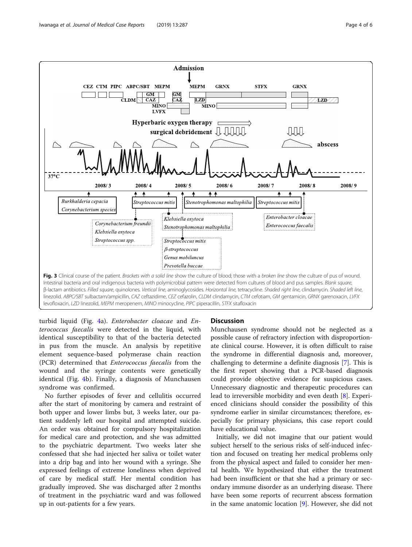<span id="page-3-0"></span>

turbid liquid (Fig. [4a](#page-4-0)). Enterobacter cloacae and Enterococcus faecalis were detected in the liquid, with identical susceptibility to that of the bacteria detected in pus from the muscle. An analysis by repetitive element sequence-based polymerase chain reaction (PCR) determined that Enterococcus faecalis from the wound and the syringe contents were genetically identical (Fig. [4b](#page-4-0)). Finally, a diagnosis of Munchausen syndrome was confirmed.

No further episodes of fever and cellulitis occurred after the start of monitoring by camera and restraint of both upper and lower limbs but, 3 weeks later, our patient suddenly left our hospital and attempted suicide. An order was obtained for compulsory hospitalization for medical care and protection, and she was admitted to the psychiatric department. Two weeks later she confessed that she had injected her saliva or toilet water into a drip bag and into her wound with a syringe. She expressed feelings of extreme loneliness when deprived of care by medical staff. Her mental condition has gradually improved. She was discharged after 2 months of treatment in the psychiatric ward and was followed up in out-patients for a few years.

### **Discussion**

Munchausen syndrome should not be neglected as a possible cause of refractory infection with disproportionate clinical course. However, it is often difficult to raise the syndrome in differential diagnosis and, moreover, challenging to determine a definite diagnosis [[7\]](#page-5-0). This is the first report showing that a PCR-based diagnosis could provide objective evidence for suspicious cases. Unnecessary diagnostic and therapeutic procedures can lead to irreversible morbidity and even death [[8](#page-5-0)]. Experienced clinicians should consider the possibility of this syndrome earlier in similar circumstances; therefore, especially for primary physicians, this case report could have educational value.

Initially, we did not imagine that our patient would subject herself to the serious risks of self-induced infection and focused on treating her medical problems only from the physical aspect and failed to consider her mental health. We hypothesized that either the treatment had been insufficient or that she had a primary or secondary immune disorder as an underlying disease. There have been some reports of recurrent abscess formation in the same anatomic location [\[9](#page-5-0)]. However, she did not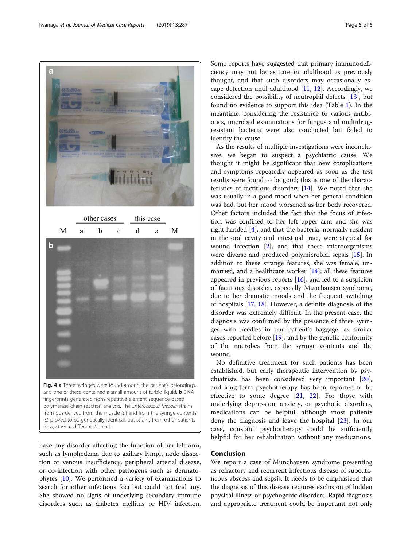have any disorder affecting the function of her left arm, such as lymphedema due to axillary lymph node dissection or venous insufficiency, peripheral arterial disease, or co-infection with other pathogens such as dermatophytes [[10\]](#page-5-0). We performed a variety of examinations to search for other infectious foci but could not find any. She showed no signs of underlying secondary immune disorders such as diabetes mellitus or HIV infection. Some reports have suggested that primary immunodeficiency may not be as rare in adulthood as previously thought, and that such disorders may occasionally escape detection until adulthood  $[11, 12]$  $[11, 12]$  $[11, 12]$ . Accordingly, we considered the possibility of neutrophil defects [\[13](#page-5-0)], but found no evidence to support this idea (Table [1\)](#page-2-0). In the meantime, considering the resistance to various antibiotics, microbial examinations for fungus and multidrugresistant bacteria were also conducted but failed to identify the cause.

As the results of multiple investigations were inconclusive, we began to suspect a psychiatric cause. We thought it might be significant that new complications and symptoms repeatedly appeared as soon as the test results were found to be good; this is one of the characteristics of factitious disorders [\[14\]](#page-5-0). We noted that she was usually in a good mood when her general condition was bad, but her mood worsened as her body recovered. Other factors included the fact that the focus of infection was confined to her left upper arm and she was right handed [\[4](#page-5-0)], and that the bacteria, normally resident in the oral cavity and intestinal tract, were atypical for wound infection [[2\]](#page-5-0), and that these microorganisms were diverse and produced polymicrobial sepsis [[15\]](#page-5-0). In addition to these strange features, she was female, unmarried, and a healthcare worker  $[14]$ ; all these features appeared in previous reports [\[16](#page-5-0)], and led to a suspicion of factitious disorder, especially Munchausen syndrome, due to her dramatic moods and the frequent switching of hospitals [[17,](#page-5-0) [18\]](#page-5-0). However, a definite diagnosis of the disorder was extremely difficult. In the present case, the diagnosis was confirmed by the presence of three syringes with needles in our patient's baggage, as similar cases reported before [[19\]](#page-5-0), and by the genetic conformity of the microbes from the syringe contents and the wound.

No definitive treatment for such patients has been established, but early therapeutic intervention by psychiatrists has been considered very important [\[20](#page-5-0)], and long-term psychotherapy has been reported to be effective to some degree [\[21](#page-5-0), [22](#page-5-0)]. For those with underlying depression, anxiety, or psychotic disorders, medications can be helpful, although most patients deny the diagnosis and leave the hospital [\[23](#page-5-0)]. In our case, constant psychotherapy could be sufficiently helpful for her rehabilitation without any medications.

#### Conclusion

We report a case of Munchausen syndrome presenting as refractory and recurrent infectious disease of subcutaneous abscess and sepsis. It needs to be emphasized that the diagnosis of this disease requires exclusion of hidden physical illness or psychogenic disorders. Rapid diagnosis and appropriate treatment could be important not only

fingerprints generated from repetitive element sequence-based polymerase chain reaction analysis. The Enterococcus faecalis strains (e) proved to be genetically identical, but strains from other patients (a, b, c) were different. M mark

<span id="page-4-0"></span>